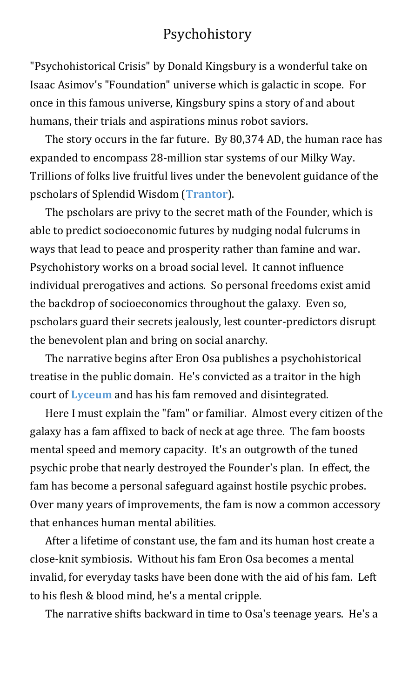## <span id="page-0-0"></span>Psychohistory

"Psychohistorical Crisis" by Donald Kingsbury is a wonderful take on Isaac Asimov's "Foundation" universe which is galactic in scope. For once in this famous universe, Kingsbury spins a story of and about humans, their trials and aspirations minus robot saviors.

The story occurs in the far future. By 80,374 AD, the human race has expanded to encompass 28-million star systems of our Milky Way. Trillions of folks live fruitful lives under the benevolent guidance of the pscholars of Splendid Wisdom (**[Trantor](#page-3-0)**).

<span id="page-0-1"></span>The pscholars are privy to the secret math of the Founder, which is able to predict socioeconomic futures by nudging nodal fulcrums in ways that lead to peace and prosperity rather than famine and war. Psychohistory works on a broad social level. It cannot influence individual prerogatives and actions. So personal freedoms exist amid the backdrop of socioeconomics throughout the galaxy. Even so, pscholars guard their secrets jealously, lest counter-predictors disrupt the benevolent plan and bring on social anarchy.

The narrative begins after Eron Osa publishes a psychohistorical treatise in the public domain. He's convicted as a traitor in the high court of **[Lyceum](#page-3-1)** and has his fam removed and disintegrated.

<span id="page-0-2"></span>Here I must explain the "fam" or familiar. Almost every citizen of the galaxy has a fam affixed to back of neck at age three. The fam boosts mental speed and memory capacity. It's an outgrowth of the tuned psychic probe that nearly destroyed the Founder's plan. In effect, the fam has become a personal safeguard against hostile psychic probes. Over many years of improvements, the fam is now a common accessory that enhances human mental abilities.

After a lifetime of constant use, the fam and its human host create a close-knit symbiosis. Without his fam Eron Osa becomes a mental invalid, for everyday tasks have been done with the aid of his fam. Left to his flesh & blood mind, he's a mental cripple.

The narrative shifts backward in time to Osa's teenage years. He's a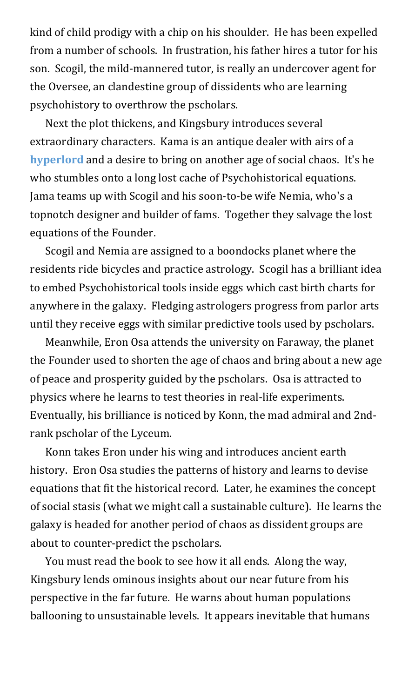kind of child prodigy with a chip on his shoulder. He has been expelled from a number of schools. In frustration, his father hires a tutor for his son. Scogil, the mild-mannered tutor, is really an undercover agent for the Oversee, an clandestine group of dissidents who are learning psychohistory to overthrow the pscholars.

<span id="page-1-0"></span>Next the plot thickens, and Kingsbury introduces several extraordinary characters. Kama is an antique dealer with airs of a **[hyperlord](#page-3-2)** and a desire to bring on another age of social chaos. It's he who stumbles onto a long lost cache of Psychohistorical equations. Jama teams up with Scogil and his soon-to-be wife Nemia, who's a topnotch designer and builder of fams. Together they salvage the lost equations of the Founder.

Scogil and Nemia are assigned to a boondocks planet where the residents ride bicycles and practice astrology. Scogil has a brilliant idea to embed Psychohistorical tools inside eggs which cast birth charts for anywhere in the galaxy. Fledging astrologers progress from parlor arts until they receive eggs with similar predictive tools used by pscholars.

Meanwhile, Eron Osa attends the university on Faraway, the planet the Founder used to shorten the age of chaos and bring about a new age of peace and prosperity guided by the pscholars. Osa is attracted to physics where he learns to test theories in real-life experiments. Eventually, his brilliance is noticed by Konn, the mad admiral and 2ndrank pscholar of the Lyceum.

Konn takes Eron under his wing and introduces ancient earth history. Eron Osa studies the patterns of history and learns to devise equations that fit the historical record. Later, he examines the concept of social stasis (what we might call a sustainable culture). He learns the galaxy is headed for another period of chaos as dissident groups are about to counter-predict the pscholars.

You must read the book to see how it all ends. Along the way, Kingsbury lends ominous insights about our near future from his perspective in the far future. He warns about human populations ballooning to unsustainable levels. It appears inevitable that humans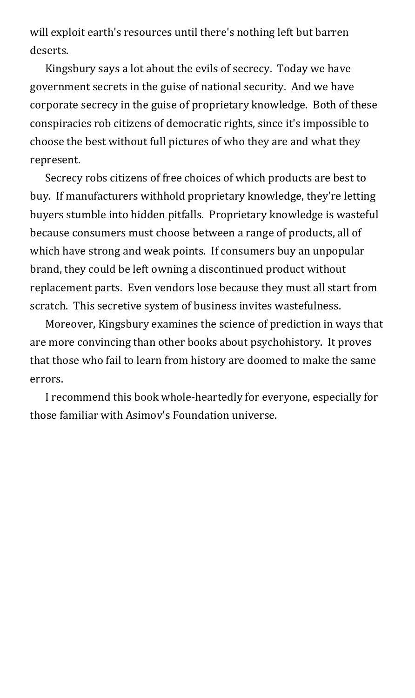will exploit earth's resources until there's nothing left but barren deserts.

Kingsbury says a lot about the evils of secrecy. Today we have government secrets in the guise of national security. And we have corporate secrecy in the guise of proprietary knowledge. Both of these conspiracies rob citizens of democratic rights, since it's impossible to choose the best without full pictures of who they are and what they represent.

Secrecy robs citizens of free choices of which products are best to buy. If manufacturers withhold proprietary knowledge, they're letting buyers stumble into hidden pitfalls. Proprietary knowledge is wasteful because consumers must choose between a range of products, all of which have strong and weak points. If consumers buy an unpopular brand, they could be left owning a discontinued product without replacement parts. Even vendors lose because they must all start from scratch. This secretive system of business invites wastefulness.

Moreover, Kingsbury examines the science of prediction in ways that are more convincing than other books about psychohistory. It proves that those who fail to learn from history are doomed to make the same errors.

I recommend this book whole-heartedly for everyone, especially for those familiar with Asimov's Foundation universe.